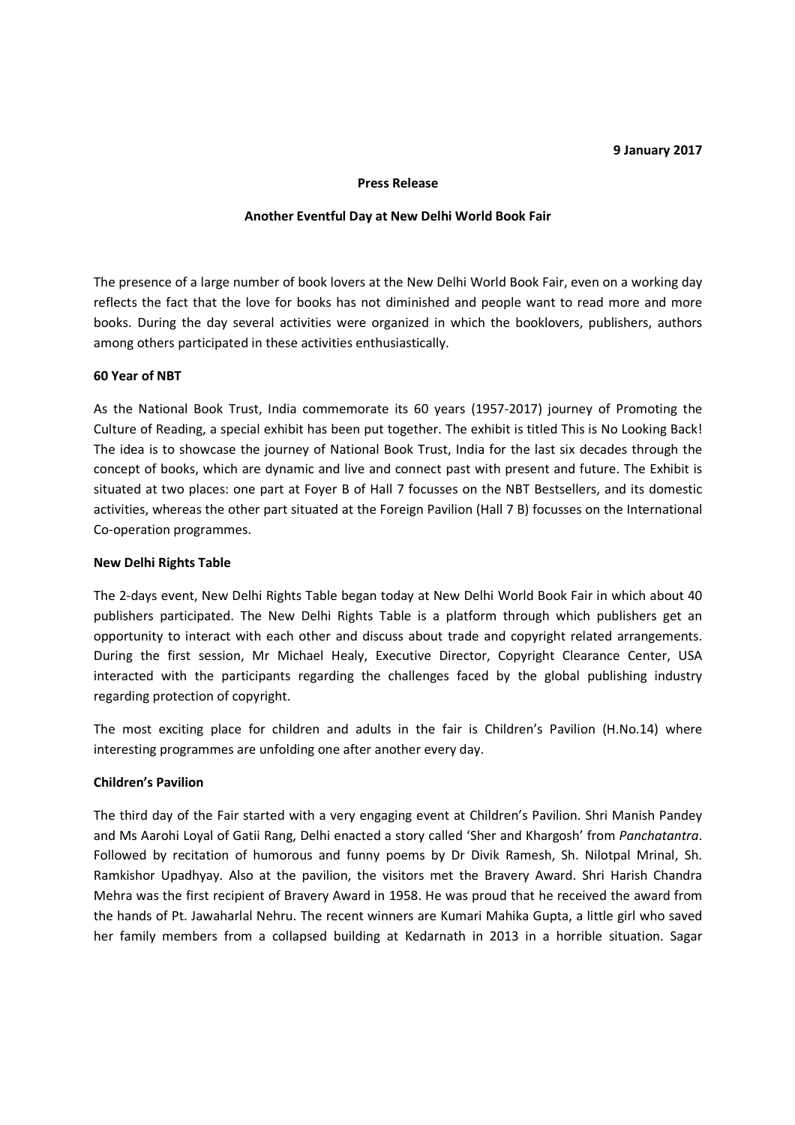#### **9 January 2017**

#### **Press Release**

#### **Another Eventful Day at New Delhi World Book Fair**

The presence of a large number of book lovers at the New Delhi World Book Fair, even on a working day reflects the fact that the love for books has not diminished and people want to read more and more books. During the day several activities were organized in which the booklovers, publishers, authors among others participated in these activities enthusiastically.

## **60 Year of NBT**

As the National Book Trust, India commemorate its 60 years (1957-2017) journey of Promoting the Culture of Reading, a special exhibit has been put together. The exhibit is titled This is No Looking Back! The idea is to showcase the journey of National Book Trust, India for the last six decades through the concept of books, which are dynamic and live and connect past with present and future. The Exhibit is situated at two places: one part at Foyer B of Hall 7 focusses on the NBT Bestsellers, and its domestic activities, whereas the other part situated at the Foreign Pavilion (Hall 7 B) focusses on the International Co-operation programmes.

## **New Delhi Rights Table**

The 2-days event, New Delhi Rights Table began today at New Delhi World Book Fair in which about 40 publishers participated. The New Delhi Rights Table is a platform through which publishers get an opportunity to interact with each other and discuss about trade and copyright related arrangements. During the first session, Mr Michael Healy, Executive Director, Copyright Clearance Center, USA interacted with the participants regarding the challenges faced by the global publishing industry regarding protection of copyright.

The most exciting place for children and adults in the fair is Children's Pavilion (H.No.14) where interesting programmes are unfolding one after another every day.

# **Children's Pavilion**

The third day of the Fair started with a very engaging event at Children's Pavilion. Shri Manish Pandey and Ms Aarohi Loyal of Gatii Rang, Delhi enacted a story called 'Sher and Khargosh' from *Panchatantra*. Followed by recitation of humorous and funny poems by Dr Divik Ramesh, Sh. Nilotpal Mrinal, Sh. Ramkishor Upadhyay. Also at the pavilion, the visitors met the Bravery Award. Shri Harish Chandra Mehra was the first recipient of Bravery Award in 1958. He was proud that he received the award from the hands of Pt. Jawaharlal Nehru. The recent winners are Kumari Mahika Gupta, a little girl who saved her family members from a collapsed building at Kedarnath in 2013 in a horrible situation. Sagar